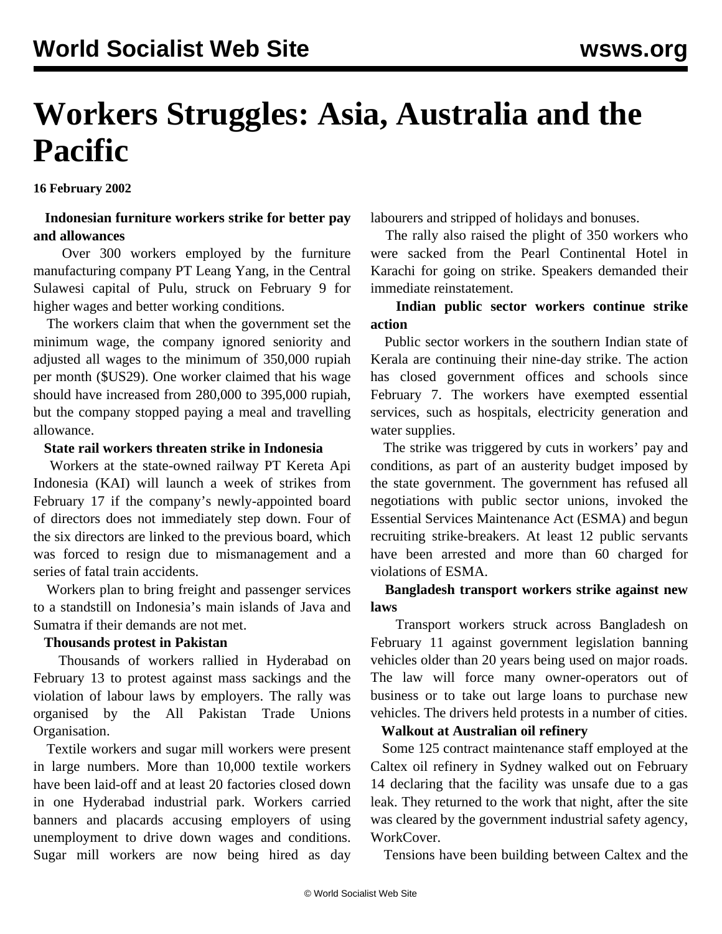# **Workers Struggles: Asia, Australia and the Pacific**

**16 February 2002**

#### **Indonesian furniture workers strike for better pay and allowances**

 Over 300 workers employed by the furniture manufacturing company PT Leang Yang, in the Central Sulawesi capital of Pulu, struck on February 9 for higher wages and better working conditions.

 The workers claim that when the government set the minimum wage, the company ignored seniority and adjusted all wages to the minimum of 350,000 rupiah per month (\$US29). One worker claimed that his wage should have increased from 280,000 to 395,000 rupiah, but the company stopped paying a meal and travelling allowance.

#### **State rail workers threaten strike in Indonesia**

 Workers at the state-owned railway PT Kereta Api Indonesia (KAI) will launch a week of strikes from February 17 if the company's newly-appointed board of directors does not immediately step down. Four of the six directors are linked to the previous board, which was forced to resign due to mismanagement and a series of fatal train accidents.

 Workers plan to bring freight and passenger services to a standstill on Indonesia's main islands of Java and Sumatra if their demands are not met.

#### **Thousands protest in Pakistan**

 Thousands of workers rallied in Hyderabad on February 13 to protest against mass sackings and the violation of labour laws by employers. The rally was organised by the All Pakistan Trade Unions Organisation.

 Textile workers and sugar mill workers were present in large numbers. More than 10,000 textile workers have been laid-off and at least 20 factories closed down in one Hyderabad industrial park. Workers carried banners and placards accusing employers of using unemployment to drive down wages and conditions. Sugar mill workers are now being hired as day

labourers and stripped of holidays and bonuses.

 The rally also raised the plight of 350 workers who were sacked from the Pearl Continental Hotel in Karachi for going on strike. Speakers demanded their immediate reinstatement.

### **Indian public sector workers continue strike action**

 Public sector workers in the southern Indian state of Kerala are continuing their nine-day strike. The action has closed government offices and schools since February 7. The workers have exempted essential services, such as hospitals, electricity generation and water supplies.

 The strike was triggered by cuts in workers' pay and conditions, as part of an austerity budget imposed by the state government. The government has refused all negotiations with public sector unions, invoked the Essential Services Maintenance Act (ESMA) and begun recruiting strike-breakers. At least 12 public servants have been arrested and more than 60 charged for violations of ESMA.

#### **Bangladesh transport workers strike against new laws**

 Transport workers struck across Bangladesh on February 11 against government legislation banning vehicles older than 20 years being used on major roads. The law will force many owner-operators out of business or to take out large loans to purchase new vehicles. The drivers held protests in a number of cities.

#### **Walkout at Australian oil refinery**

 Some 125 contract maintenance staff employed at the Caltex oil refinery in Sydney walked out on February 14 declaring that the facility was unsafe due to a gas leak. They returned to the work that night, after the site was cleared by the government industrial safety agency, WorkCover.

Tensions have been building between Caltex and the